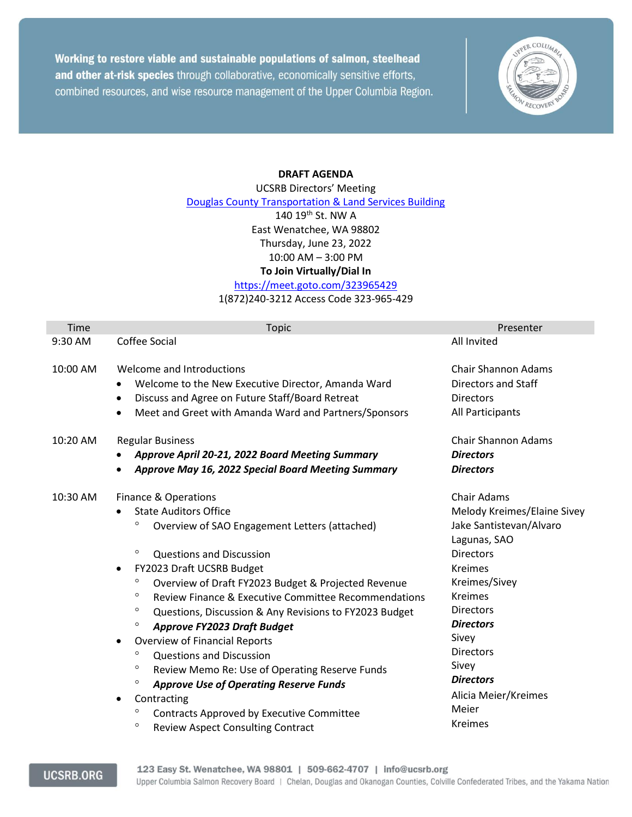Working to restore viable and sustainable populations of salmon, steelhead and other at-risk species through collaborative, economically sensitive efforts, combined resources, and wise resource management of the Upper Columbia Region.



## **DRAFT AGENDA**

UCSRB Directors' Meeting [Douglas County Transportation & Land Services Building](https://www.google.com/maps/place/Douglas+County+Transportation+%26+Land+Services+Building/@47.4336738,-120.3018417,15z/data=!4m5!3m4!1s0x0:0xab635635769c8feb!8m2!3d47.4337414!4d-120.3018398) 140 19th St. NW A East Wenatchee, WA 98802 Thursday, June 23, 2022 10:00 AM – 3:00 PM **To Join Virtually/Dial In** <https://meet.goto.com/323965429>

1(872)240-3212 Access Code 323-965-429

| Time     | <b>Topic</b>                                                                                                                                                                                                                                                                                                                                                                                                                                                                                                                                                                                                                                                                                                                                                                                                                               | Presenter                                                                                                                                                                                                                                                                                                                  |
|----------|--------------------------------------------------------------------------------------------------------------------------------------------------------------------------------------------------------------------------------------------------------------------------------------------------------------------------------------------------------------------------------------------------------------------------------------------------------------------------------------------------------------------------------------------------------------------------------------------------------------------------------------------------------------------------------------------------------------------------------------------------------------------------------------------------------------------------------------------|----------------------------------------------------------------------------------------------------------------------------------------------------------------------------------------------------------------------------------------------------------------------------------------------------------------------------|
| 9:30 AM  | Coffee Social                                                                                                                                                                                                                                                                                                                                                                                                                                                                                                                                                                                                                                                                                                                                                                                                                              | All Invited                                                                                                                                                                                                                                                                                                                |
| 10:00 AM | Welcome and Introductions<br>Welcome to the New Executive Director, Amanda Ward<br>٠<br>Discuss and Agree on Future Staff/Board Retreat<br>٠<br>Meet and Greet with Amanda Ward and Partners/Sponsors<br>$\bullet$                                                                                                                                                                                                                                                                                                                                                                                                                                                                                                                                                                                                                         | <b>Chair Shannon Adams</b><br><b>Directors and Staff</b><br><b>Directors</b><br>All Participants                                                                                                                                                                                                                           |
| 10:20 AM | <b>Regular Business</b><br>Approve April 20-21, 2022 Board Meeting Summary<br>Approve May 16, 2022 Special Board Meeting Summary                                                                                                                                                                                                                                                                                                                                                                                                                                                                                                                                                                                                                                                                                                           | <b>Chair Shannon Adams</b><br><b>Directors</b><br><b>Directors</b>                                                                                                                                                                                                                                                         |
| 10:30 AM | <b>Finance &amp; Operations</b><br><b>State Auditors Office</b><br>$\bullet$<br>$\circ$<br>Overview of SAO Engagement Letters (attached)<br>$\circ$<br><b>Questions and Discussion</b><br>FY2023 Draft UCSRB Budget<br>$\bullet$<br>$\circ$<br>Overview of Draft FY2023 Budget & Projected Revenue<br>$\circ$<br>Review Finance & Executive Committee Recommendations<br>$\circ$<br>Questions, Discussion & Any Revisions to FY2023 Budget<br>$\circ$<br><b>Approve FY2023 Draft Budget</b><br><b>Overview of Financial Reports</b><br>$\bullet$<br>o<br><b>Questions and Discussion</b><br>$\circ$<br>Review Memo Re: Use of Operating Reserve Funds<br>o<br><b>Approve Use of Operating Reserve Funds</b><br>Contracting<br>$\bullet$<br>o<br>Contracts Approved by Executive Committee<br>o<br><b>Review Aspect Consulting Contract</b> | <b>Chair Adams</b><br>Melody Kreimes/Elaine Sivey<br>Jake Santistevan/Alvaro<br>Lagunas, SAO<br><b>Directors</b><br><b>Kreimes</b><br>Kreimes/Sivey<br><b>Kreimes</b><br><b>Directors</b><br><b>Directors</b><br>Sivey<br><b>Directors</b><br>Sivey<br><b>Directors</b><br>Alicia Meier/Kreimes<br>Meier<br><b>Kreimes</b> |